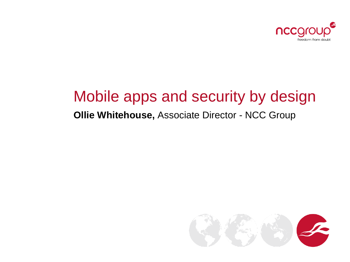

#### Mobile apps and security by design

#### **Ollie Whitehouse,** Associate Director - NCC Group

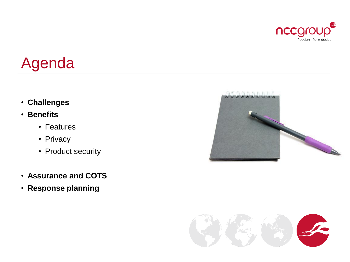

# Agenda

- **Challenges**
- **Benefits**
	- Features
	- Privacy
	- Product security
- **Assurance and COTS**
- **Response planning**



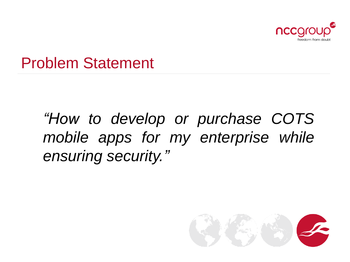

### Problem Statement

*"How to develop or purchase COTS mobile apps for my enterprise while ensuring security."*

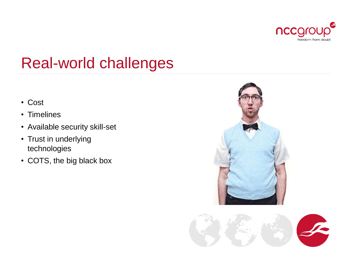

## Real-world challenges

- Cost
- Timelines
- Available security skill-set
- Trust in underlying technologies
- COTS, the big black box



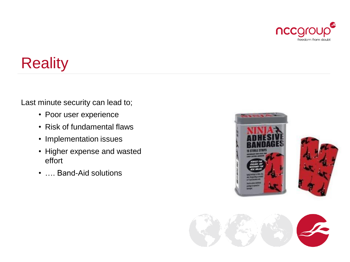

# **Reality**

Last minute security can lead to;

- Poor user experience
- Risk of fundamental flaws
- Implementation issues
- Higher expense and wasted effort
- …. Band-Aid solutions



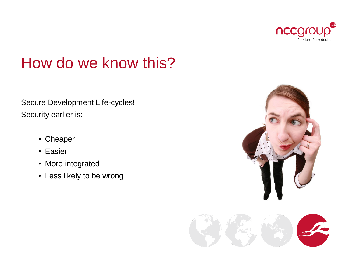

## How do we know this?

Secure Development Life-cycles! Security earlier is;

- Cheaper
- Easier
- More integrated
- Less likely to be wrong

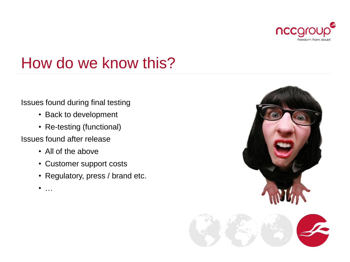

## How do we know this?

#### Issues found during final testing

- Back to development
- Re-testing (functional)

#### Issues found after release

- All of the above
- Customer support costs
- Regulatory, press / brand etc.
- $\bullet$  …

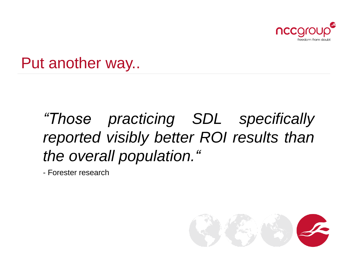

### Put another way..

# *"Those practicing SDL specifically reported visibly better ROI results than the overall population."*

- Forester research

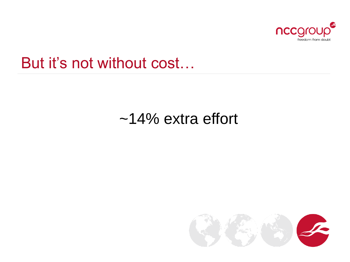

### But it's not without cost…

### ~14% extra effort

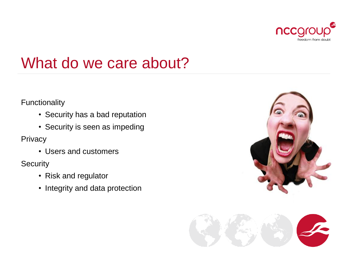

## What do we care about?

#### Functionality

- Security has a bad reputation
- Security is seen as impeding

**Privacy** 

• Users and customers

**Security** 

- Risk and regulator
- Integrity and data protection



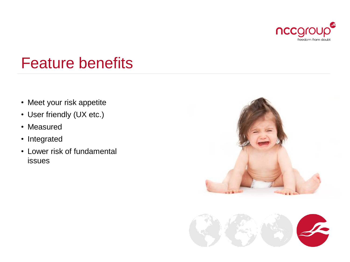

## Feature benefits

- Meet your risk appetite
- User friendly (UX etc.)
- Measured
- Integrated
- Lower risk of fundamental issues



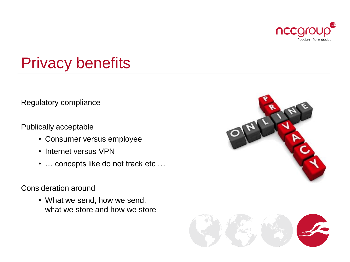

# Privacy benefits

Regulatory compliance

Publically acceptable

- Consumer versus employee
- Internet versus VPN
- … concepts like do not track etc …

#### Consideration around

• What we send, how we send, what we store and how we store



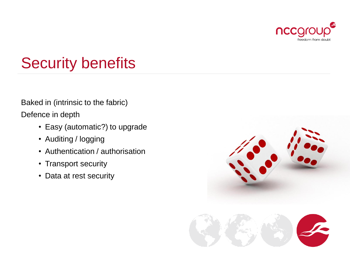

# Security benefits

Baked in (intrinsic to the fabric)

Defence in depth

- Easy (automatic?) to upgrade
- Auditing / logging
- Authentication / authorisation
- Transport security
- Data at rest security

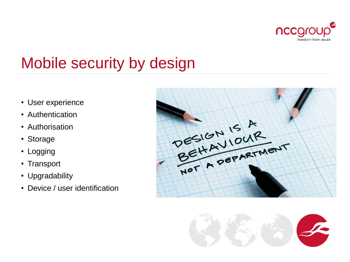

# Mobile security by design

- User experience
- Authentication
- Authorisation
- Storage
- Logging
- Transport
- Upgradability
- Device / user identification



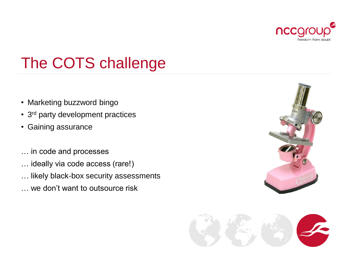

# The COTS challenge

- Marketing buzzword bingo
- 3<sup>rd</sup> party development practices
- Gaining assurance
- … in code and processes
- … ideally via code access (rare!)
- … likely black-box security assessments
- … we don't want to outsource risk



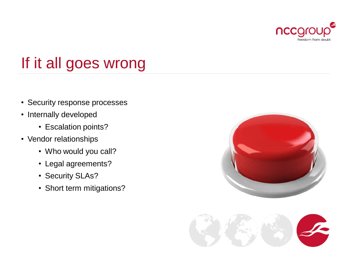

# If it all goes wrong

- Security response processes
- Internally developed
	- Escalation points?
- Vendor relationships
	- Who would you call?
	- Legal agreements?
	- Security SLAs?
	- Short term mitigations?



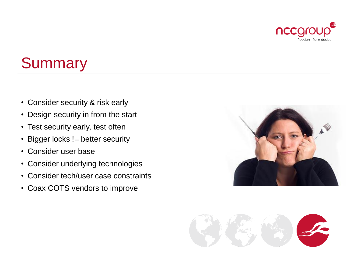

# **Summary**

- Consider security & risk early
- Design security in from the start
- Test security early, test often
- Bigger locks != better security
- Consider user base
- Consider underlying technologies
- Consider tech/user case constraints
- Coax COTS vendors to improve